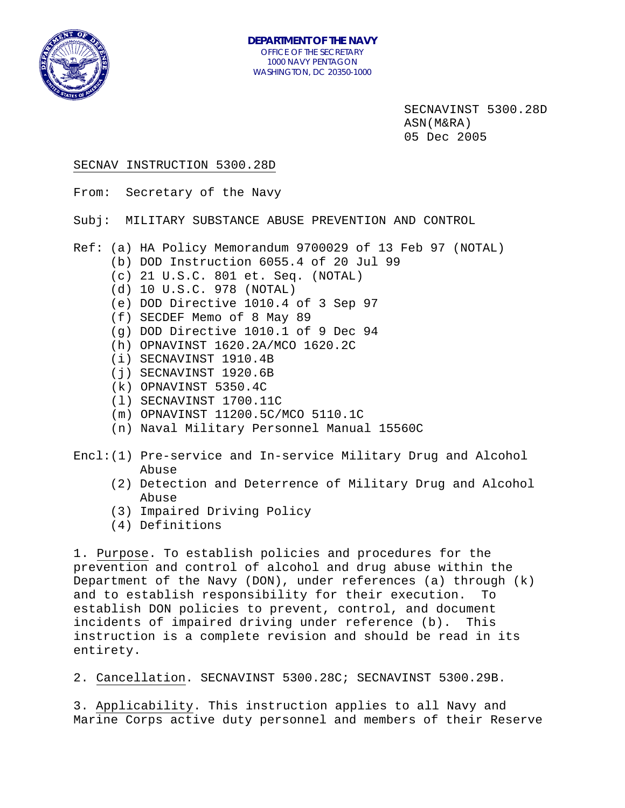

SECNAVINST 5300.28D ASN(M&RA) 05 Dec 2005

#### SECNAV INSTRUCTION 5300.28D

From: Secretary of the Navy

Subj: MILITARY SUBSTANCE ABUSE PREVENTION AND CONTROL

Ref: (a) HA Policy Memorandum 9700029 of 13 Feb 97 (NOTAL)

- (b) DOD Instruction 6055.4 of 20 Jul 99
- (c) 21 U.S.C. 801 et. Seq. (NOTAL)
- (d) 10 U.S.C. 978 (NOTAL)
- (e) DOD Directive 1010.4 of 3 Sep 97
- (f) SECDEF Memo of 8 May 89
- (g) DOD Directive 1010.1 of 9 Dec 94
- (h) OPNAVINST 1620.2A/MCO 1620.2C
- (i) SECNAVINST 1910.4B
- (j) SECNAVINST 1920.6B
- (k) OPNAVINST 5350.4C
- (l) SECNAVINST 1700.11C
- (m) OPNAVINST 11200.5C/MCO 5110.1C
- (n) Naval Military Personnel Manual 15560C
- Encl:(1) Pre-service and In-service Military Drug and Alcohol Abuse
	- (2) Detection and Deterrence of Military Drug and Alcohol Abuse
	- (3) Impaired Driving Policy
	- (4) Definitions

1. Purpose. To establish policies and procedures for the prevention and control of alcohol and drug abuse within the Department of the Navy (DON), under references (a) through (k) and to establish responsibility for their execution. To establish DON policies to prevent, control, and document incidents of impaired driving under reference (b). This instruction is a complete revision and should be read in its entirety.

2. Cancellation. SECNAVINST 5300.28C; SECNAVINST 5300.29B.

3. Applicability. This instruction applies to all Navy and Marine Corps active duty personnel and members of their Reserve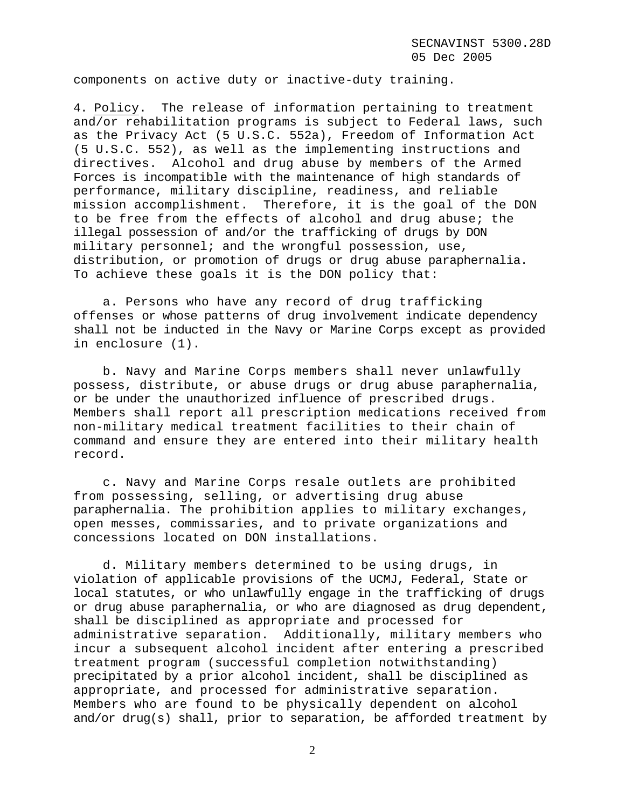components on active duty or inactive-duty training.

4. Policy. The release of information pertaining to treatment and/or rehabilitation programs is subject to Federal laws, such as the Privacy Act (5 U.S.C. 552a), Freedom of Information Act (5 U.S.C. 552), as well as the implementing instructions and directives. Alcohol and drug abuse by members of the Armed Forces is incompatible with the maintenance of high standards of performance, military discipline, readiness, and reliable mission accomplishment. Therefore, it is the goal of the DON to be free from the effects of alcohol and drug abuse; the illegal possession of and/or the trafficking of drugs by DON military personnel; and the wrongful possession, use, distribution, or promotion of drugs or drug abuse paraphernalia. To achieve these goals it is the DON policy that:

a. Persons who have any record of drug trafficking offenses or whose patterns of drug involvement indicate dependency shall not be inducted in the Navy or Marine Corps except as provided in enclosure (1).

b. Navy and Marine Corps members shall never unlawfully possess, distribute, or abuse drugs or drug abuse paraphernalia, or be under the unauthorized influence of prescribed drugs. Members shall report all prescription medications received from non-military medical treatment facilities to their chain of command and ensure they are entered into their military health record.

c. Navy and Marine Corps resale outlets are prohibited from possessing, selling, or advertising drug abuse paraphernalia. The prohibition applies to military exchanges, open messes, commissaries, and to private organizations and concessions located on DON installations.

d. Military members determined to be using drugs, in violation of applicable provisions of the UCMJ, Federal, State or local statutes, or who unlawfully engage in the trafficking of drugs or drug abuse paraphernalia, or who are diagnosed as drug dependent, shall be disciplined as appropriate and processed for administrative separation. Additionally, military members who incur a subsequent alcohol incident after entering a prescribed treatment program (successful completion notwithstanding) precipitated by a prior alcohol incident, shall be disciplined as appropriate, and processed for administrative separation. Members who are found to be physically dependent on alcohol and/or drug(s) shall, prior to separation, be afforded treatment by

2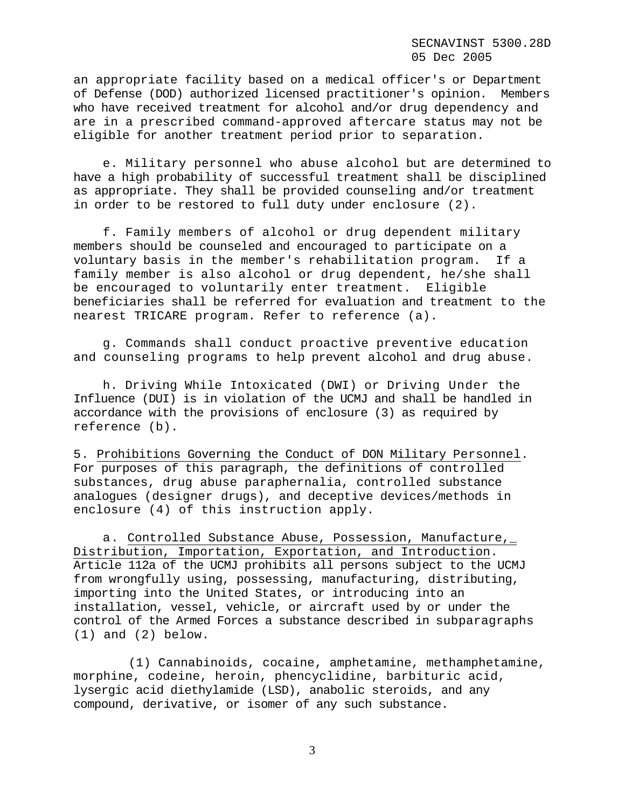an appropriate facility based on a medical officer's or Department of Defense (DOD) authorized licensed practitioner's opinion. Members who have received treatment for alcohol and/or drug dependency and are in a prescribed command-approved aftercare status may not be eligible for another treatment period prior to separation.

e. Military personnel who abuse alcohol but are determined to have a high probability of successful treatment shall be disciplined as appropriate. They shall be provided counseling and/or treatment in order to be restored to full duty under enclosure (2).

f. Family members of alcohol or drug dependent military members should be counseled and encouraged to participate on a voluntary basis in the member's rehabilitation program. If a family member is also alcohol or drug dependent, he/she shall be encouraged to voluntarily enter treatment. Eligible beneficiaries shall be referred for evaluation and treatment to the nearest TRICARE program. Refer to reference (a).

g. Commands shall conduct proactive preventive education and counseling programs to help prevent alcohol and drug abuse.

h. Driving While Intoxicated (DWI) or Driving Under the Influence (DUI) is in violation of the UCMJ and shall be handled in accordance with the provisions of enclosure (3) as required by reference (b).

5. Prohibitions Governing the Conduct of DON Military Personnel. For purposes of this paragraph, the definitions of controlled substances, drug abuse paraphernalia, controlled substance analogues (designer drugs), and deceptive devices/methods in enclosure (4) of this instruction apply.

a. Controlled Substance Abuse, Possession, Manufacture, Distribution, Importation, Exportation, and Introduction. Article 112a of the UCMJ prohibits all persons subject to the UCMJ from wrongfully using, possessing, manufacturing, distributing, importing into the United States, or introducing into an installation, vessel, vehicle, or aircraft used by or under the control of the Armed Forces a substance described in subparagraphs (1) and (2) below.

(1) Cannabinoids, cocaine, amphetamine, methamphetamine, morphine, codeine, heroin, phencyclidine, barbituric acid, lysergic acid diethylamide (LSD), anabolic steroids, and any compound, derivative, or isomer of any such substance.

3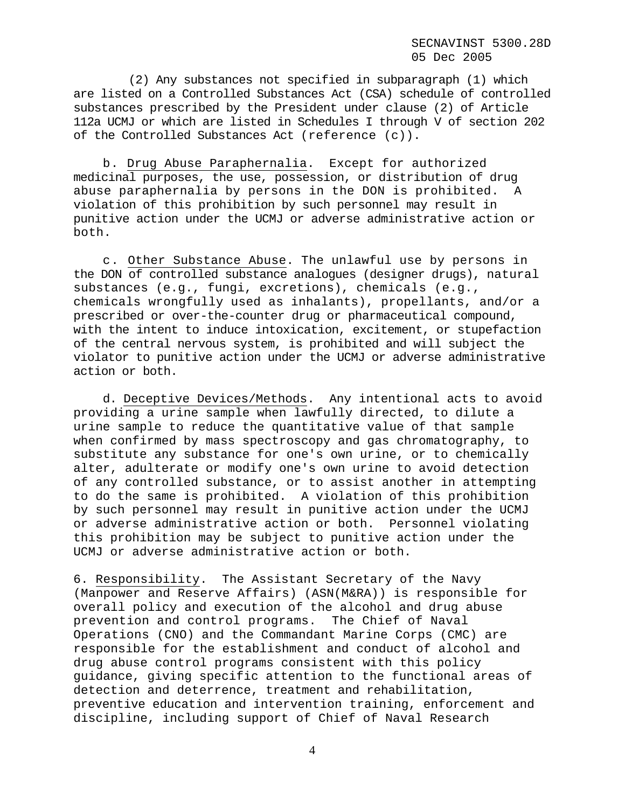(2) Any substances not specified in subparagraph (1) which are listed on a Controlled Substances Act (CSA) schedule of controlled substances prescribed by the President under clause (2) of Article 112a UCMJ or which are listed in Schedules I through V of section 202 of the Controlled Substances Act (reference (c)).

b. Drug Abuse Paraphernalia. Except for authorized medicinal purposes, the use, possession, or distribution of drug abuse paraphernalia by persons in the DON is prohibited. A violation of this prohibition by such personnel may result in punitive action under the UCMJ or adverse administrative action or both.

c. Other Substance Abuse. The unlawful use by persons in the DON of controlled substance analogues (designer drugs), natural substances (e.g., fungi, excretions), chemicals (e.g., chemicals wrongfully used as inhalants), propellants, and/or a prescribed or over-the-counter drug or pharmaceutical compound, with the intent to induce intoxication, excitement, or stupefaction of the central nervous system, is prohibited and will subject the violator to punitive action under the UCMJ or adverse administrative action or both.

d. Deceptive Devices/Methods. Any intentional acts to avoid providing a urine sample when lawfully directed, to dilute a urine sample to reduce the quantitative value of that sample when confirmed by mass spectroscopy and gas chromatography, to substitute any substance for one's own urine, or to chemically alter, adulterate or modify one's own urine to avoid detection of any controlled substance, or to assist another in attempting to do the same is prohibited. A violation of this prohibition by such personnel may result in punitive action under the UCMJ or adverse administrative action or both. Personnel violating this prohibition may be subject to punitive action under the UCMJ or adverse administrative action or both.

6. Responsibility. The Assistant Secretary of the Navy (Manpower and Reserve Affairs) (ASN(M&RA)) is responsible for overall policy and execution of the alcohol and drug abuse prevention and control programs. The Chief of Naval Operations (CNO) and the Commandant Marine Corps (CMC) are responsible for the establishment and conduct of alcohol and drug abuse control programs consistent with this policy guidance, giving specific attention to the functional areas of detection and deterrence, treatment and rehabilitation, preventive education and intervention training, enforcement and discipline, including support of Chief of Naval Research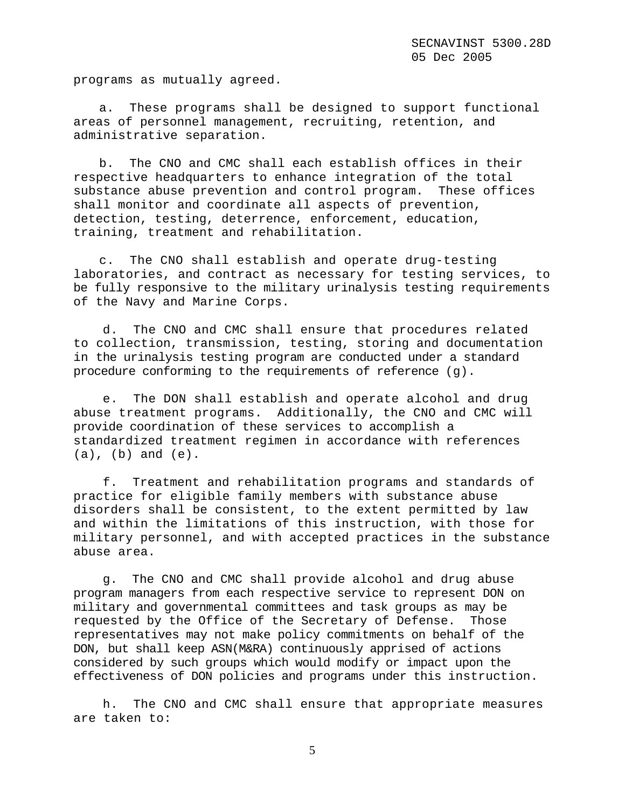programs as mutually agreed.

a. These programs shall be designed to support functional areas of personnel management, recruiting, retention, and administrative separation.

b. The CNO and CMC shall each establish offices in their respective headquarters to enhance integration of the total substance abuse prevention and control program. These offices shall monitor and coordinate all aspects of prevention, detection, testing, deterrence, enforcement, education, training, treatment and rehabilitation.

c. The CNO shall establish and operate drug-testing laboratories, and contract as necessary for testing services, to be fully responsive to the military urinalysis testing requirements of the Navy and Marine Corps.

d. The CNO and CMC shall ensure that procedures related to collection, transmission, testing, storing and documentation in the urinalysis testing program are conducted under a standard procedure conforming to the requirements of reference (g).

e. The DON shall establish and operate alcohol and drug abuse treatment programs. Additionally, the CNO and CMC will provide coordination of these services to accomplish a standardized treatment regimen in accordance with references (a), (b) and (e).

f. Treatment and rehabilitation programs and standards of practice for eligible family members with substance abuse disorders shall be consistent, to the extent permitted by law and within the limitations of this instruction, with those for military personnel, and with accepted practices in the substance abuse area.

g. The CNO and CMC shall provide alcohol and drug abuse program managers from each respective service to represent DON on military and governmental committees and task groups as may be requested by the Office of the Secretary of Defense. Those representatives may not make policy commitments on behalf of the DON, but shall keep ASN(M&RA) continuously apprised of actions considered by such groups which would modify or impact upon the effectiveness of DON policies and programs under this instruction.

h. The CNO and CMC shall ensure that appropriate measures are taken to:

5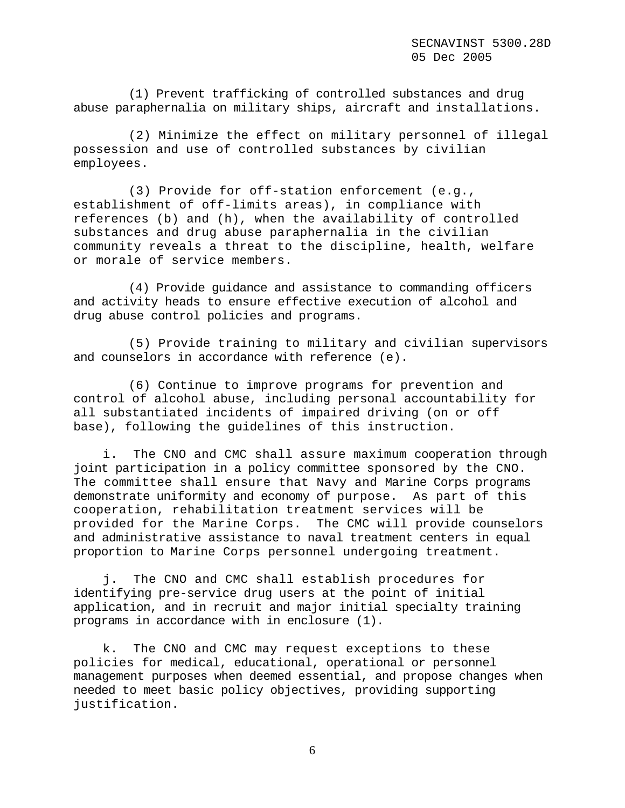(1) Prevent trafficking of controlled substances and drug abuse paraphernalia on military ships, aircraft and installations.

(2) Minimize the effect on military personnel of illegal possession and use of controlled substances by civilian employees.

(3) Provide for off-station enforcement (e.g., establishment of off-limits areas), in compliance with references (b) and (h), when the availability of controlled substances and drug abuse paraphernalia in the civilian community reveals a threat to the discipline, health, welfare or morale of service members.

(4) Provide guidance and assistance to commanding officers and activity heads to ensure effective execution of alcohol and drug abuse control policies and programs.

(5) Provide training to military and civilian supervisors and counselors in accordance with reference (e).

(6) Continue to improve programs for prevention and control of alcohol abuse, including personal accountability for all substantiated incidents of impaired driving (on or off base), following the guidelines of this instruction.

i. The CNO and CMC shall assure maximum cooperation through joint participation in a policy committee sponsored by the CNO. The committee shall ensure that Navy and Marine Corps programs demonstrate uniformity and economy of purpose. As part of this cooperation, rehabilitation treatment services will be provided for the Marine Corps. The CMC will provide counselors and administrative assistance to naval treatment centers in equal proportion to Marine Corps personnel undergoing treatment.

j. The CNO and CMC shall establish procedures for identifying pre-service drug users at the point of initial application, and in recruit and major initial specialty training programs in accordance with in enclosure (1).

k. The CNO and CMC may request exceptions to these policies for medical, educational, operational or personnel management purposes when deemed essential, and propose changes when needed to meet basic policy objectives, providing supporting justification.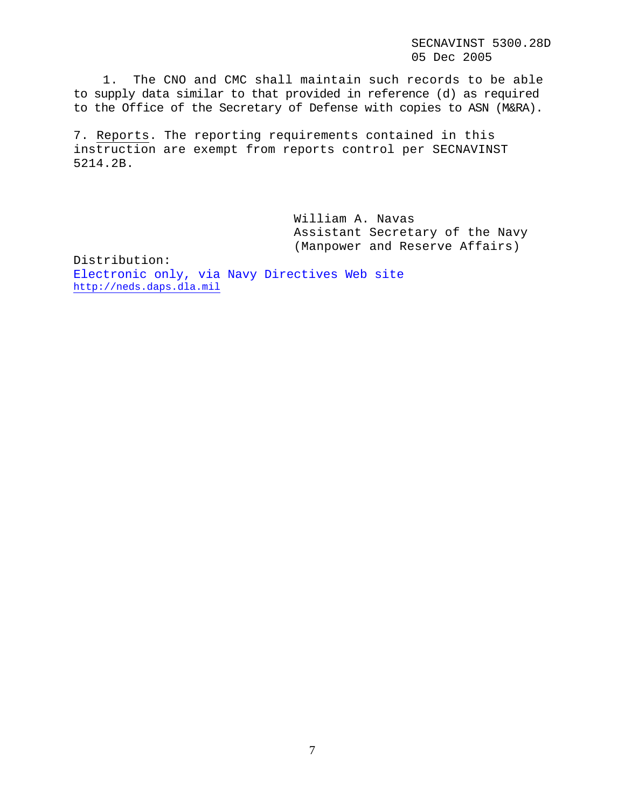SECNAVINST 5300.28D 05 Dec 2005

1. The CNO and CMC shall maintain such records to be able to supply data similar to that provided in reference (d) as required to the Office of the Secretary of Defense with copies to ASN (M&RA).

7. Reports. The reporting requirements contained in this instruction are exempt from reports control per SECNAVINST 5214.2B.

> William A. Navas Assistant Secretary of the Navy (Manpower and Reserve Affairs)

Distribution: Electronic only, via Navy Directives Web site http://neds.daps.dla.mil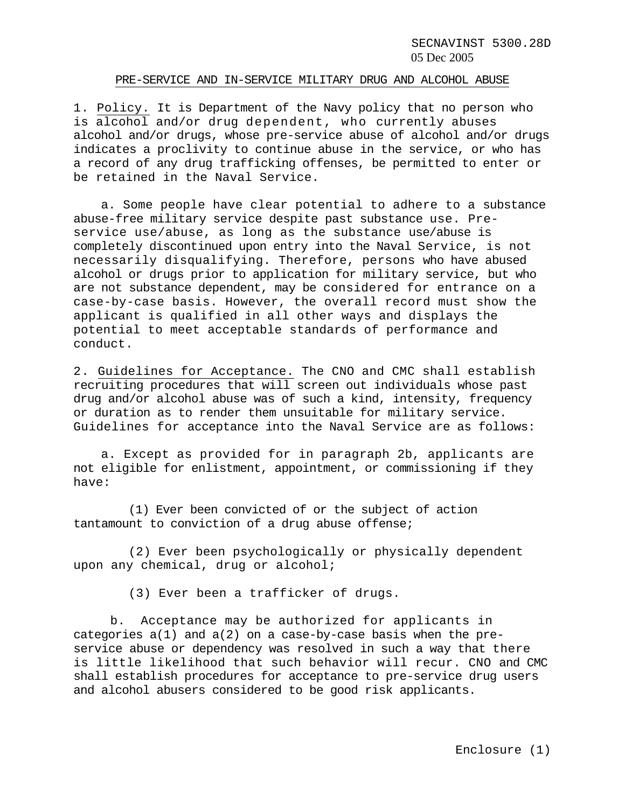SECNAVINST 5300.28D 05 Dec 2005

#### PRE-SERVICE AND IN-SERVICE MILITARY DRUG AND ALCOHOL ABUSE

1. Policy. It is Department of the Navy policy that no person who is alcohol and/or drug dependent, who currently abuses alcohol and/or drugs, whose pre-service abuse of alcohol and/or drugs indicates a proclivity to continue abuse in the service, or who has a record of any drug trafficking offenses, be permitted to enter or be retained in the Naval Service.

a. Some people have clear potential to adhere to a substance abuse-free military service despite past substance use. Preservice use/abuse, as long as the substance use/abuse is completely discontinued upon entry into the Naval Service, is not necessarily disqualifying. Therefore, persons who have abused alcohol or drugs prior to application for military service, but who are not substance dependent, may be considered for entrance on a case-by-case basis. However, the overall record must show the applicant is qualified in all other ways and displays the potential to meet acceptable standards of performance and conduct.

2. Guidelines for Acceptance. The CNO and CMC shall establish recruiting procedures that will screen out individuals whose past drug and/or alcohol abuse was of such a kind, intensity, frequency or duration as to render them unsuitable for military service. Guidelines for acceptance into the Naval Service are as follows:

a. Except as provided for in paragraph 2b, applicants are not eligible for enlistment, appointment, or commissioning if they have:

(1) Ever been convicted of or the subject of action tantamount to conviction of a drug abuse offense;

(2) Ever been psychologically or physically dependent upon any chemical, drug or alcohol;

(3) Ever been a trafficker of drugs.

b. Acceptance may be authorized for applicants in categories  $a(1)$  and  $a(2)$  on a case-by-case basis when the preservice abuse or dependency was resolved in such a way that there is little likelihood that such behavior will recur. CNO and CMC shall establish procedures for acceptance to pre-service drug users and alcohol abusers considered to be good risk applicants.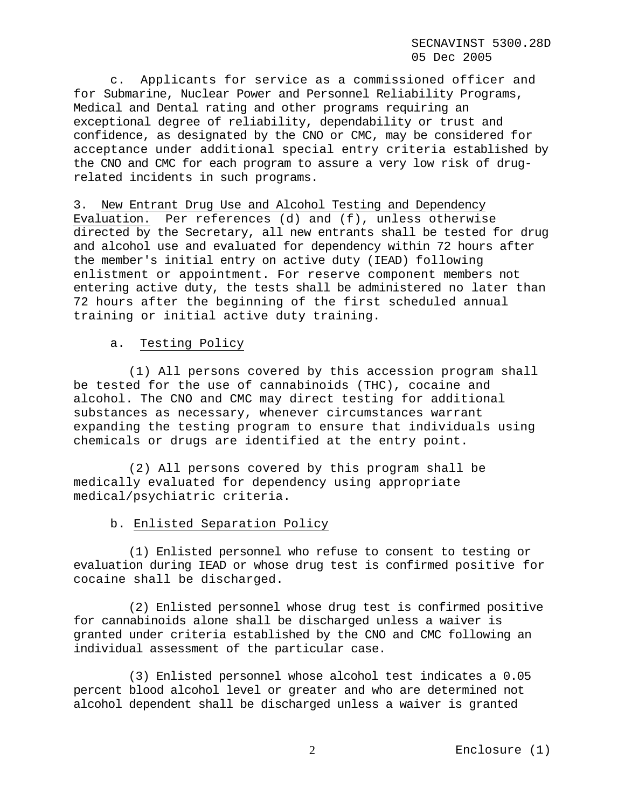c. Applicants for service as a commissioned officer and for Submarine, Nuclear Power and Personnel Reliability Programs, Medical and Dental rating and other programs requiring an exceptional degree of reliability, dependability or trust and confidence, as designated by the CNO or CMC, may be considered for acceptance under additional special entry criteria established by the CNO and CMC for each program to assure a very low risk of drugrelated incidents in such programs.

3. New Entrant Drug Use and Alcohol Testing and Dependency Evaluation. Per references (d) and (f), unless otherwise directed by the Secretary, all new entrants shall be tested for drug and alcohol use and evaluated for dependency within 72 hours after the member's initial entry on active duty (IEAD) following enlistment or appointment. For reserve component members not entering active duty, the tests shall be administered no later than 72 hours after the beginning of the first scheduled annual training or initial active duty training.

# a. Testing Policy

(1) All persons covered by this accession program shall be tested for the use of cannabinoids (THC), cocaine and alcohol. The CNO and CMC may direct testing for additional substances as necessary, whenever circumstances warrant expanding the testing program to ensure that individuals using chemicals or drugs are identified at the entry point.

(2) All persons covered by this program shall be medically evaluated for dependency using appropriate medical/psychiatric criteria.

## b. Enlisted Separation Policy

(1) Enlisted personnel who refuse to consent to testing or evaluation during IEAD or whose drug test is confirmed positive for cocaine shall be discharged.

(2) Enlisted personnel whose drug test is confirmed positive for cannabinoids alone shall be discharged unless a waiver is granted under criteria established by the CNO and CMC following an individual assessment of the particular case.

(3) Enlisted personnel whose alcohol test indicates a 0.05 percent blood alcohol level or greater and who are determined not alcohol dependent shall be discharged unless a waiver is granted

Enclosure (1) 2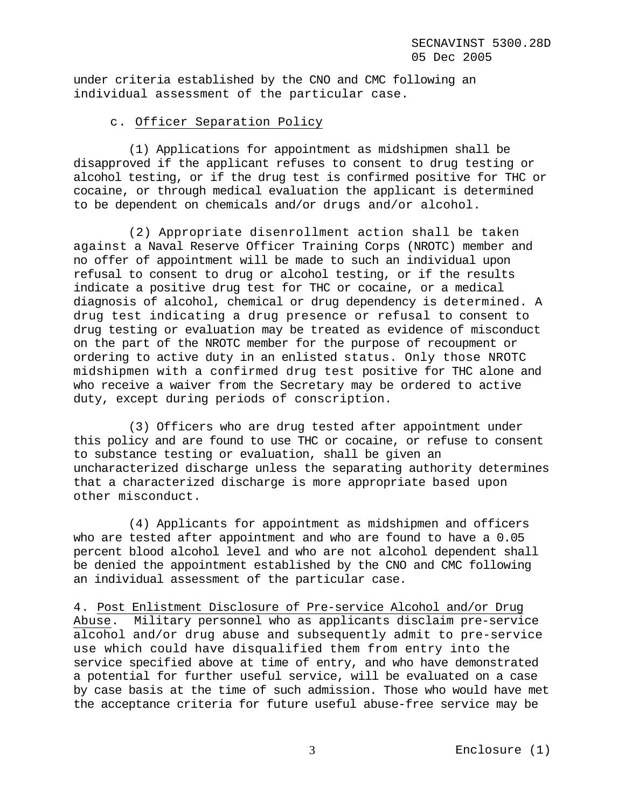under criteria established by the CNO and CMC following an individual assessment of the particular case.

## c. Officer Separation Policy

(1) Applications for appointment as midshipmen shall be disapproved if the applicant refuses to consent to drug testing or alcohol testing, or if the drug test is confirmed positive for THC or cocaine, or through medical evaluation the applicant is determined to be dependent on chemicals and/or drugs and/or alcohol.

(2) Appropriate disenrollment action shall be taken against a Naval Reserve Officer Training Corps (NROTC) member and no offer of appointment will be made to such an individual upon refusal to consent to drug or alcohol testing, or if the results indicate a positive drug test for THC or cocaine, or a medical diagnosis of alcohol, chemical or drug dependency is determined. A drug test indicating a drug presence or refusal to consent to drug testing or evaluation may be treated as evidence of misconduct on the part of the NROTC member for the purpose of recoupment or ordering to active duty in an enlisted status. Only those NROTC midshipmen with a confirmed drug test positive for THC alone and who receive a waiver from the Secretary may be ordered to active duty, except during periods of conscription.

(3) Officers who are drug tested after appointment under this policy and are found to use THC or cocaine, or refuse to consent to substance testing or evaluation, shall be given an uncharacterized discharge unless the separating authority determines that a characterized discharge is more appropriate based upon other misconduct.

(4) Applicants for appointment as midshipmen and officers who are tested after appointment and who are found to have a 0.05 percent blood alcohol level and who are not alcohol dependent shall be denied the appointment established by the CNO and CMC following an individual assessment of the particular case.

4. Post Enlistment Disclosure of Pre-service Alcohol and/or Drug Abuse. Military personnel who as applicants disclaim pre-service alcohol and/or drug abuse and subsequently admit to pre-service use which could have disqualified them from entry into the service specified above at time of entry, and who have demonstrated a potential for further useful service, will be evaluated on a case by case basis at the time of such admission. Those who would have met the acceptance criteria for future useful abuse-free service may be

Enclosure (1) 3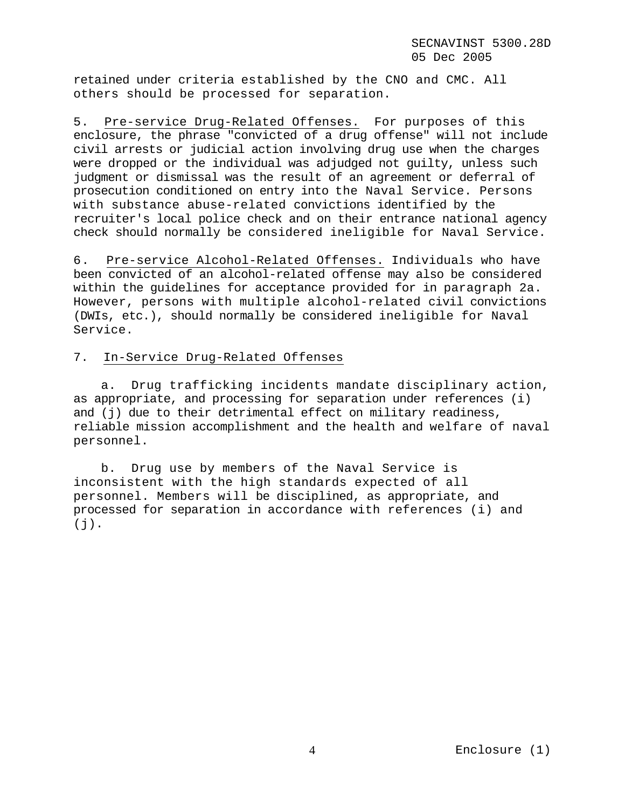retained under criteria established by the CNO and CMC. All others should be processed for separation.

5. Pre-service Drug-Related Offenses. For purposes of this enclosure, the phrase "convicted of a drug offense" will not include civil arrests or judicial action involving drug use when the charges were dropped or the individual was adjudged not guilty, unless such judgment or dismissal was the result of an agreement or deferral of prosecution conditioned on entry into the Naval Service. Persons with substance abuse-related convictions identified by the recruiter's local police check and on their entrance national agency check should normally be considered ineligible for Naval Service.

6. Pre-service Alcohol-Related Offenses. Individuals who have been convicted of an alcohol-related offense may also be considered within the guidelines for acceptance provided for in paragraph 2a. However, persons with multiple alcohol-related civil convictions (DWIs, etc.), should normally be considered ineligible for Naval Service.

# 7. In-Service Drug-Related Offenses

a. Drug trafficking incidents mandate disciplinary action, as appropriate, and processing for separation under references (i) and (j) due to their detrimental effect on military readiness, reliable mission accomplishment and the health and welfare of naval personnel.

b. Drug use by members of the Naval Service is inconsistent with the high standards expected of all personnel. Members will be disciplined, as appropriate, and processed for separation in accordance with references (i) and  $(j)$ .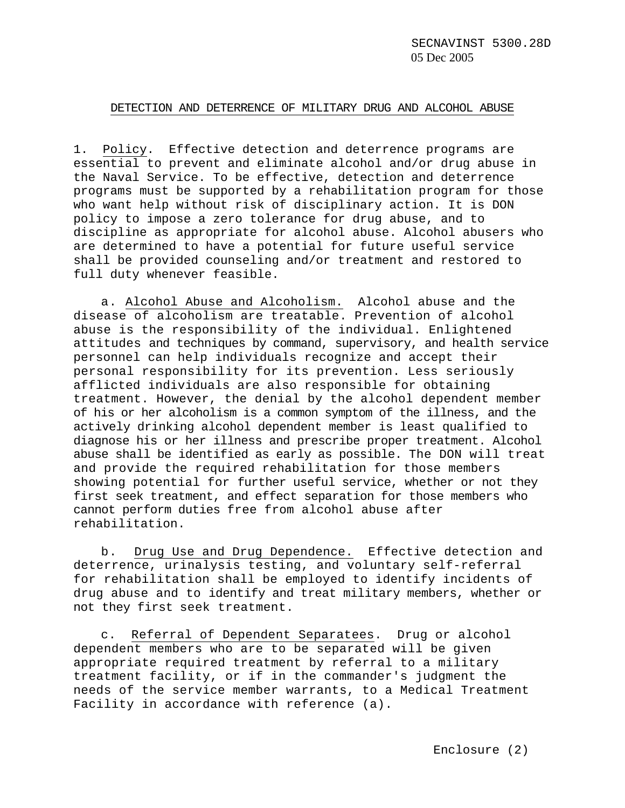#### DETECTION AND DETERRENCE OF MILITARY DRUG AND ALCOHOL ABUSE

1. Policy. Effective detection and deterrence programs are essential to prevent and eliminate alcohol and/or drug abuse in the Naval Service. To be effective, detection and deterrence programs must be supported by a rehabilitation program for those who want help without risk of disciplinary action. It is DON policy to impose a zero tolerance for drug abuse, and to discipline as appropriate for alcohol abuse. Alcohol abusers who are determined to have a potential for future useful service shall be provided counseling and/or treatment and restored to full duty whenever feasible.

a. Alcohol Abuse and Alcoholism. Alcohol abuse and the disease of alcoholism are treatable. Prevention of alcohol abuse is the responsibility of the individual. Enlightened attitudes and techniques by command, supervisory, and health service personnel can help individuals recognize and accept their personal responsibility for its prevention. Less seriously afflicted individuals are also responsible for obtaining treatment. However, the denial by the alcohol dependent member of his or her alcoholism is a common symptom of the illness, and the actively drinking alcohol dependent member is least qualified to diagnose his or her illness and prescribe proper treatment. Alcohol abuse shall be identified as early as possible. The DON will treat and provide the required rehabilitation for those members showing potential for further useful service, whether or not they first seek treatment, and effect separation for those members who cannot perform duties free from alcohol abuse after rehabilitation.

b. Drug Use and Drug Dependence. Effective detection and deterrence, urinalysis testing, and voluntary self-referral for rehabilitation shall be employed to identify incidents of drug abuse and to identify and treat military members, whether or not they first seek treatment.

c. Referral of Dependent Separatees. Drug or alcohol dependent members who are to be separated will be given appropriate required treatment by referral to a military treatment facility, or if in the commander's judgment the needs of the service member warrants, to a Medical Treatment Facility in accordance with reference (a).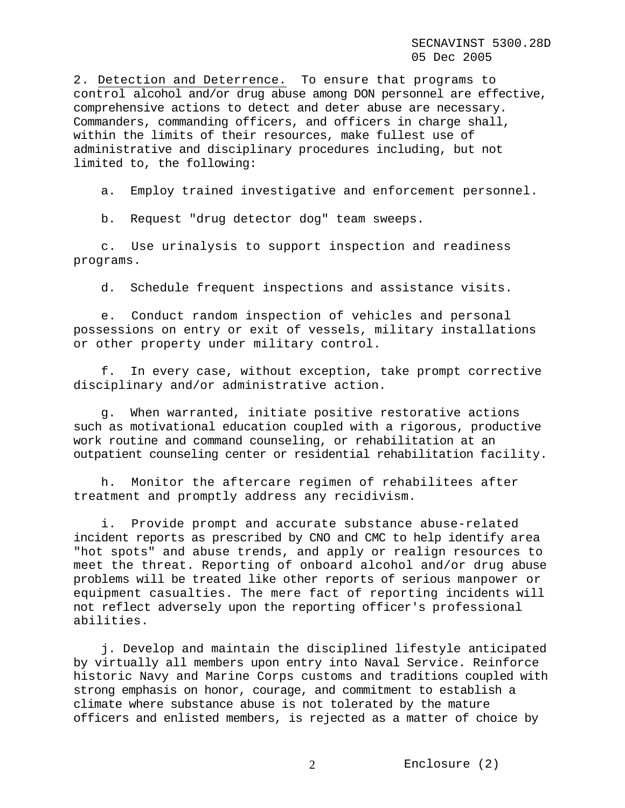2. Detection and Deterrence. To ensure that programs to control alcohol and/or drug abuse among DON personnel are effective, comprehensive actions to detect and deter abuse are necessary. Commanders, commanding officers, and officers in charge shall, within the limits of their resources, make fullest use of administrative and disciplinary procedures including, but not limited to, the following:

a. Employ trained investigative and enforcement personnel.

b. Request "drug detector dog" team sweeps.

c. Use urinalysis to support inspection and readiness programs.

d. Schedule frequent inspections and assistance visits.

e. Conduct random inspection of vehicles and personal possessions on entry or exit of vessels, military installations or other property under military control.

f. In every case, without exception, take prompt corrective disciplinary and/or administrative action.

g. When warranted, initiate positive restorative actions such as motivational education coupled with a rigorous, productive work routine and command counseling, or rehabilitation at an outpatient counseling center or residential rehabilitation facility.

h. Monitor the aftercare regimen of rehabilitees after treatment and promptly address any recidivism.

i. Provide prompt and accurate substance abuse-related incident reports as prescribed by CNO and CMC to help identify area "hot spots" and abuse trends, and apply or realign resources to meet the threat. Reporting of onboard alcohol and/or drug abuse problems will be treated like other reports of serious manpower or equipment casualties. The mere fact of reporting incidents will not reflect adversely upon the reporting officer's professional abilities.

j. Develop and maintain the disciplined lifestyle anticipated by virtually all members upon entry into Naval Service. Reinforce historic Navy and Marine Corps customs and traditions coupled with strong emphasis on honor, courage, and commitment to establish a climate where substance abuse is not tolerated by the mature officers and enlisted members, is rejected as a matter of choice by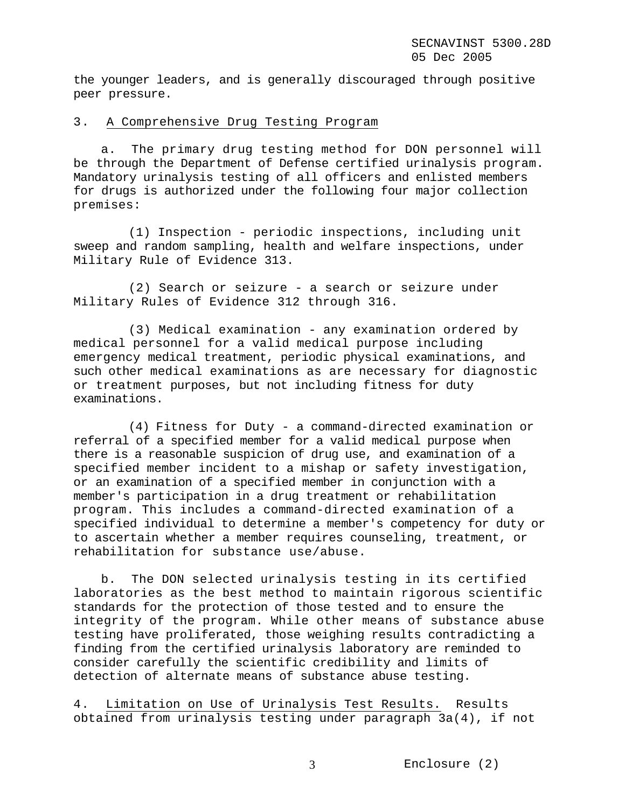the younger leaders, and is generally discouraged through positive peer pressure.

## 3. A Comprehensive Drug Testing Program

a. The primary drug testing method for DON personnel will be through the Department of Defense certified urinalysis program. Mandatory urinalysis testing of all officers and enlisted members for drugs is authorized under the following four major collection premises:

(1) Inspection - periodic inspections, including unit sweep and random sampling, health and welfare inspections, under Military Rule of Evidence 313.

(2) Search or seizure - a search or seizure under Military Rules of Evidence 312 through 316.

(3) Medical examination - any examination ordered by medical personnel for a valid medical purpose including emergency medical treatment, periodic physical examinations, and such other medical examinations as are necessary for diagnostic or treatment purposes, but not including fitness for duty examinations.

(4) Fitness for Duty - a command-directed examination or referral of a specified member for a valid medical purpose when there is a reasonable suspicion of drug use, and examination of a specified member incident to a mishap or safety investigation, or an examination of a specified member in conjunction with a member's participation in a drug treatment or rehabilitation program. This includes a command-directed examination of a specified individual to determine a member's competency for duty or to ascertain whether a member requires counseling, treatment, or rehabilitation for substance use/abuse.

b. The DON selected urinalysis testing in its certified laboratories as the best method to maintain rigorous scientific standards for the protection of those tested and to ensure the integrity of the program. While other means of substance abuse testing have proliferated, those weighing results contradicting a finding from the certified urinalysis laboratory are reminded to consider carefully the scientific credibility and limits of detection of alternate means of substance abuse testing.

4. Limitation on Use of Urinalysis Test Results. Results obtained from urinalysis testing under paragraph 3a(4), if not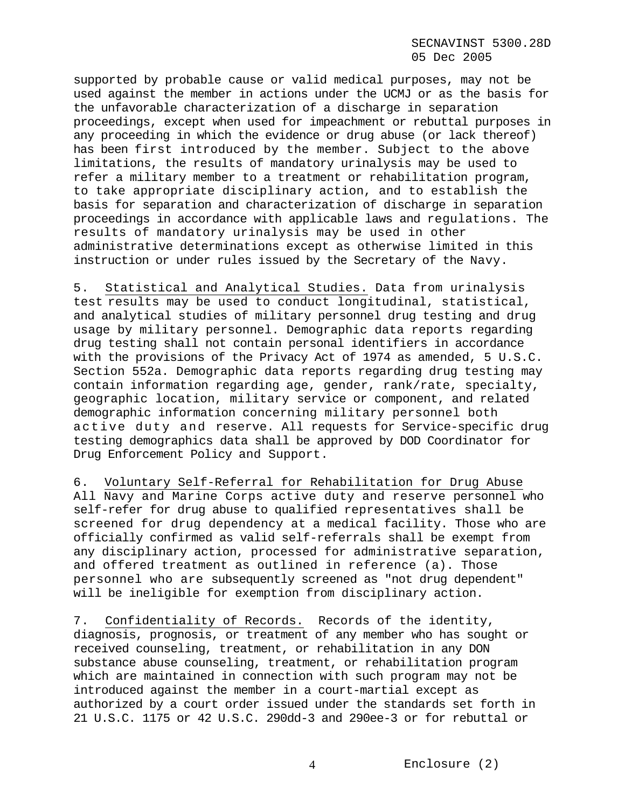supported by probable cause or valid medical purposes, may not be used against the member in actions under the UCMJ or as the basis for the unfavorable characterization of a discharge in separation proceedings, except when used for impeachment or rebuttal purposes in any proceeding in which the evidence or drug abuse (or lack thereof) has been first introduced by the member. Subject to the above limitations, the results of mandatory urinalysis may be used to refer a military member to a treatment or rehabilitation program, to take appropriate disciplinary action, and to establish the basis for separation and characterization of discharge in separation proceedings in accordance with applicable laws and regulations. The results of mandatory urinalysis may be used in other administrative determinations except as otherwise limited in this instruction or under rules issued by the Secretary of the Navy.

5. Statistical and Analytical Studies. Data from urinalysis test results may be used to conduct longitudinal, statistical, and analytical studies of military personnel drug testing and drug usage by military personnel. Demographic data reports regarding drug testing shall not contain personal identifiers in accordance with the provisions of the Privacy Act of 1974 as amended, 5 U.S.C. Section 552a. Demographic data reports regarding drug testing may contain information regarding age, gender, rank/rate, specialty, geographic location, military service or component, and related demographic information concerning military personnel both active duty and reserve. All requests for Service-specific drug testing demographics data shall be approved by DOD Coordinator for Drug Enforcement Policy and Support.

6. Voluntary Self-Referral for Rehabilitation for Drug Abuse All Navy and Marine Corps active duty and reserve personnel who self-refer for drug abuse to qualified representatives shall be screened for drug dependency at a medical facility. Those who are officially confirmed as valid self-referrals shall be exempt from any disciplinary action, processed for administrative separation, and offered treatment as outlined in reference (a). Those personnel who are subsequently screened as "not drug dependent" will be ineligible for exemption from disciplinary action.

7. Confidentiality of Records. Records of the identity, diagnosis, prognosis, or treatment of any member who has sought or received counseling, treatment, or rehabilitation in any DON substance abuse counseling, treatment, or rehabilitation program which are maintained in connection with such program may not be introduced against the member in a court-martial except as authorized by a court order issued under the standards set forth in 21 U.S.C. 1175 or 42 U.S.C. 290dd-3 and 290ee-3 or for rebuttal or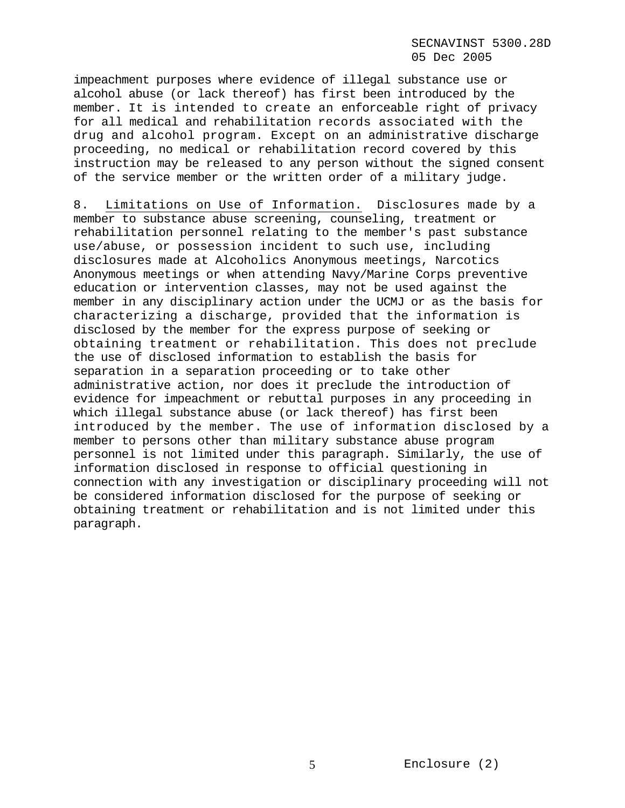## SECNAVINST 5300.28D 05 Dec 2005

impeachment purposes where evidence of illegal substance use or alcohol abuse (or lack thereof) has first been introduced by the member. It is intended to create an enforceable right of privacy for all medical and rehabilitation records associated with the drug and alcohol program. Except on an administrative discharge proceeding, no medical or rehabilitation record covered by this instruction may be released to any person without the signed consent of the service member or the written order of a military judge.

8. Limitations on Use of Information. Disclosures made by a member to substance abuse screening, counseling, treatment or rehabilitation personnel relating to the member's past substance use/abuse, or possession incident to such use, including disclosures made at Alcoholics Anonymous meetings, Narcotics Anonymous meetings or when attending Navy/Marine Corps preventive education or intervention classes, may not be used against the member in any disciplinary action under the UCMJ or as the basis for characterizing a discharge, provided that the information is disclosed by the member for the express purpose of seeking or obtaining treatment or rehabilitation. This does not preclude the use of disclosed information to establish the basis for separation in a separation proceeding or to take other administrative action, nor does it preclude the introduction of evidence for impeachment or rebuttal purposes in any proceeding in which illegal substance abuse (or lack thereof) has first been introduced by the member. The use of information disclosed by a member to persons other than military substance abuse program personnel is not limited under this paragraph. Similarly, the use of information disclosed in response to official questioning in connection with any investigation or disciplinary proceeding will not be considered information disclosed for the purpose of seeking or obtaining treatment or rehabilitation and is not limited under this paragraph.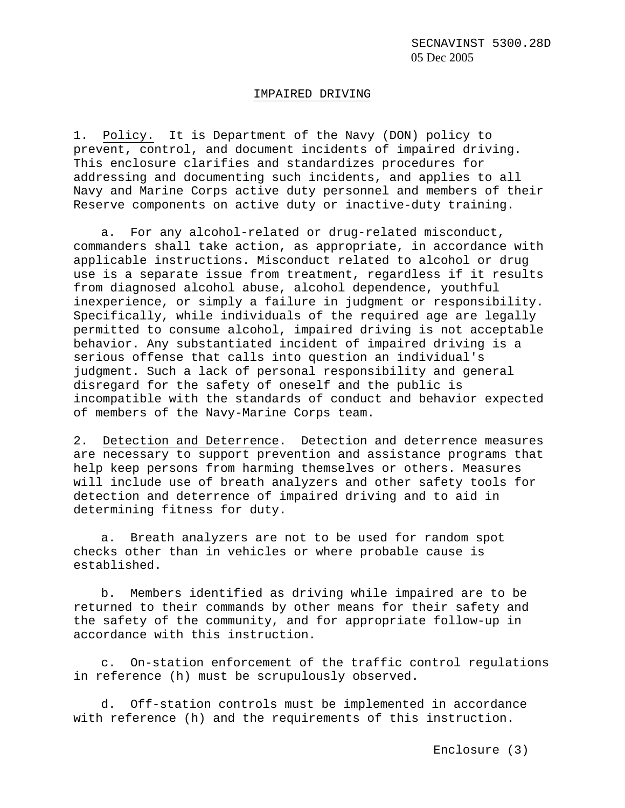#### IMPAIRED DRIVING

1. Policy. It is Department of the Navy (DON) policy to prevent, control, and document incidents of impaired driving. This enclosure clarifies and standardizes procedures for addressing and documenting such incidents, and applies to all Navy and Marine Corps active duty personnel and members of their Reserve components on active duty or inactive-duty training.

a. For any alcohol-related or drug-related misconduct, commanders shall take action, as appropriate, in accordance with applicable instructions. Misconduct related to alcohol or drug use is a separate issue from treatment, regardless if it results from diagnosed alcohol abuse, alcohol dependence, youthful inexperience, or simply a failure in judgment or responsibility. Specifically, while individuals of the required age are legally permitted to consume alcohol, impaired driving is not acceptable behavior. Any substantiated incident of impaired driving is a serious offense that calls into question an individual's judgment. Such a lack of personal responsibility and general disregard for the safety of oneself and the public is incompatible with the standards of conduct and behavior expected of members of the Navy-Marine Corps team.

2. Detection and Deterrence. Detection and deterrence measures are necessary to support prevention and assistance programs that help keep persons from harming themselves or others. Measures will include use of breath analyzers and other safety tools for detection and deterrence of impaired driving and to aid in determining fitness for duty.

a. Breath analyzers are not to be used for random spot checks other than in vehicles or where probable cause is established.

b. Members identified as driving while impaired are to be returned to their commands by other means for their safety and the safety of the community, and for appropriate follow-up in accordance with this instruction.

c. On-station enforcement of the traffic control regulations in reference (h) must be scrupulously observed.

d. Off-station controls must be implemented in accordance with reference (h) and the requirements of this instruction.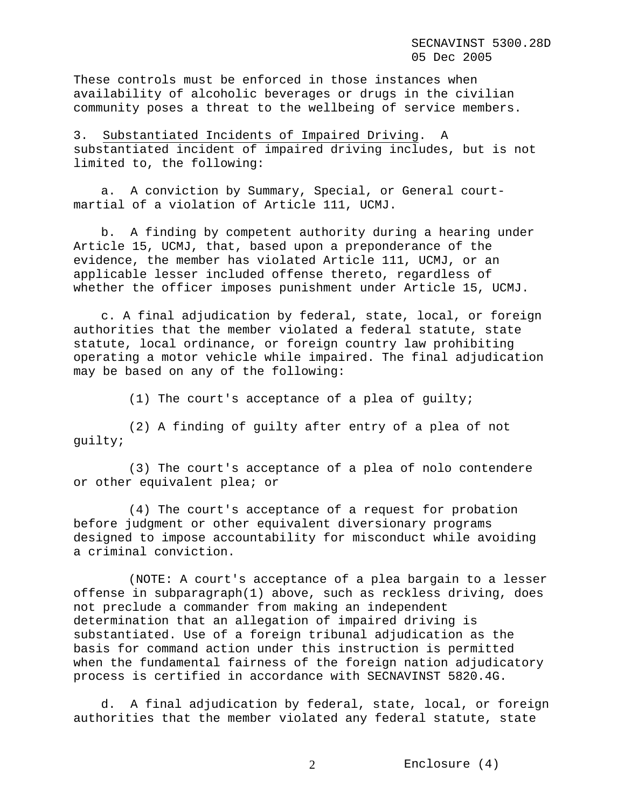These controls must be enforced in those instances when availability of alcoholic beverages or drugs in the civilian community poses a threat to the wellbeing of service members.

3. Substantiated Incidents of Impaired Driving. A substantiated incident of impaired driving includes, but is not limited to, the following:

a. A conviction by Summary, Special, or General courtmartial of a violation of Article 111, UCMJ.

b. A finding by competent authority during a hearing under Article 15, UCMJ, that, based upon a preponderance of the evidence, the member has violated Article 111, UCMJ, or an applicable lesser included offense thereto, regardless of whether the officer imposes punishment under Article 15, UCMJ.

c. A final adjudication by federal, state, local, or foreign authorities that the member violated a federal statute, state statute, local ordinance, or foreign country law prohibiting operating a motor vehicle while impaired. The final adjudication may be based on any of the following:

(1) The court's acceptance of a plea of guilty;

(2) A finding of guilty after entry of a plea of not guilty;

(3) The court's acceptance of a plea of nolo contendere or other equivalent plea; or

(4) The court's acceptance of a request for probation before judgment or other equivalent diversionary programs designed to impose accountability for misconduct while avoiding a criminal conviction.

(NOTE: A court's acceptance of a plea bargain to a lesser offense in subparagraph(1) above, such as reckless driving, does not preclude a commander from making an independent determination that an allegation of impaired driving is substantiated. Use of a foreign tribunal adjudication as the basis for command action under this instruction is permitted when the fundamental fairness of the foreign nation adjudicatory process is certified in accordance with SECNAVINST 5820.4G.

d. A final adjudication by federal, state, local, or foreign authorities that the member violated any federal statute, state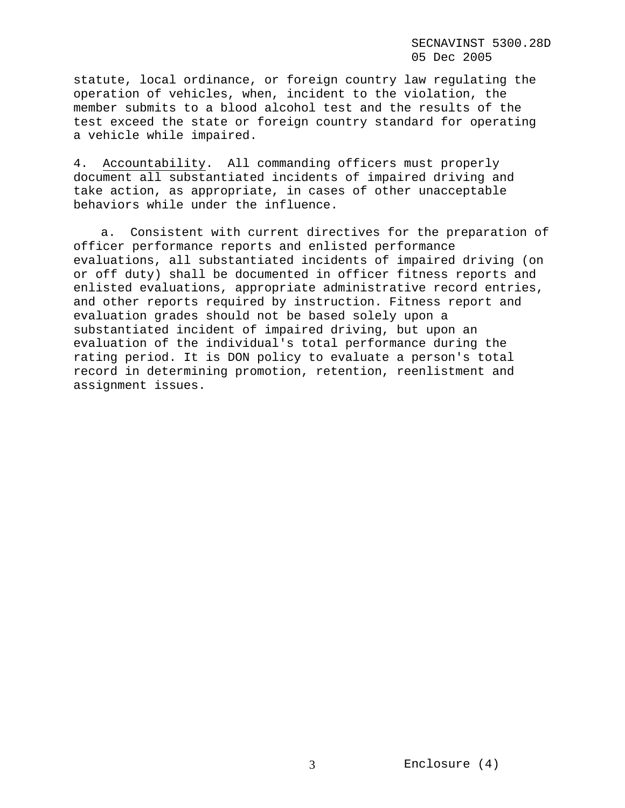statute, local ordinance, or foreign country law regulating the operation of vehicles, when, incident to the violation, the member submits to a blood alcohol test and the results of the test exceed the state or foreign country standard for operating a vehicle while impaired.

4. Accountability. All commanding officers must properly document all substantiated incidents of impaired driving and take action, as appropriate, in cases of other unacceptable behaviors while under the influence.

a. Consistent with current directives for the preparation of officer performance reports and enlisted performance evaluations, all substantiated incidents of impaired driving (on or off duty) shall be documented in officer fitness reports and enlisted evaluations, appropriate administrative record entries, and other reports required by instruction. Fitness report and evaluation grades should not be based solely upon a substantiated incident of impaired driving, but upon an evaluation of the individual's total performance during the rating period. It is DON policy to evaluate a person's total record in determining promotion, retention, reenlistment and assignment issues.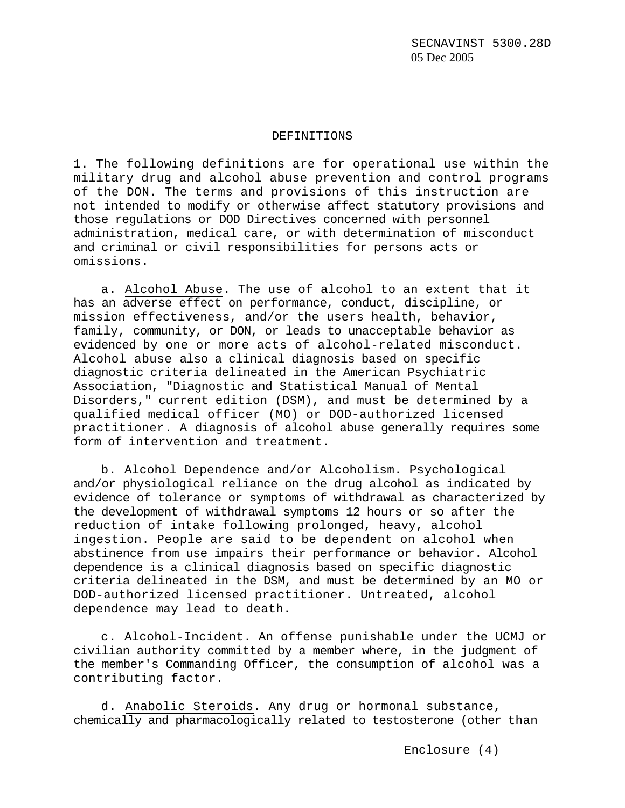#### DEFINITIONS

1. The following definitions are for operational use within the military drug and alcohol abuse prevention and control programs of the DON. The terms and provisions of this instruction are not intended to modify or otherwise affect statutory provisions and those regulations or DOD Directives concerned with personnel administration, medical care, or with determination of misconduct and criminal or civil responsibilities for persons acts or omissions.

a. Alcohol Abuse. The use of alcohol to an extent that it has an adverse effect on performance, conduct, discipline, or mission effectiveness, and/or the users health, behavior, family, community, or DON, or leads to unacceptable behavior as evidenced by one or more acts of alcohol-related misconduct. Alcohol abuse also a clinical diagnosis based on specific diagnostic criteria delineated in the American Psychiatric Association, "Diagnostic and Statistical Manual of Mental Disorders," current edition (DSM), and must be determined by a qualified medical officer (MO) or DOD-authorized licensed practitioner. A diagnosis of alcohol abuse generally requires some form of intervention and treatment.

b. Alcohol Dependence and/or Alcoholism. Psychological and/or physiological reliance on the drug alcohol as indicated by evidence of tolerance or symptoms of withdrawal as characterized by the development of withdrawal symptoms 12 hours or so after the reduction of intake following prolonged, heavy, alcohol ingestion. People are said to be dependent on alcohol when abstinence from use impairs their performance or behavior. Alcohol dependence is a clinical diagnosis based on specific diagnostic criteria delineated in the DSM, and must be determined by an MO or DOD-authorized licensed practitioner. Untreated, alcohol dependence may lead to death.

c. Alcohol-Incident. An offense punishable under the UCMJ or civilian authority committed by a member where, in the judgment of the member's Commanding Officer, the consumption of alcohol was a contributing factor.

d. Anabolic Steroids. Any drug or hormonal substance, chemically and pharmacologically related to testosterone (other than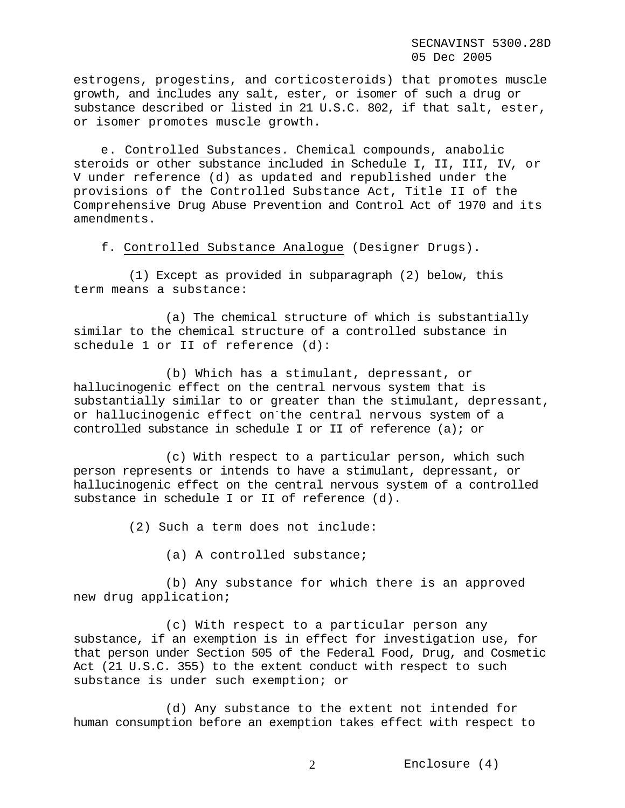estrogens, progestins, and corticosteroids) that promotes muscle growth, and includes any salt, ester, or isomer of such a drug or substance described or listed in 21 U.S.C. 802, if that salt, ester, or isomer promotes muscle growth.

e. Controlled Substances. Chemical compounds, anabolic steroids or other substance included in Schedule I, II, III, IV, or V under reference (d) as updated and republished under the provisions of the Controlled Substance Act, Title II of the Comprehensive Drug Abuse Prevention and Control Act of 1970 and its amendments.

f. Controlled Substance Analogue (Designer Drugs).

(1) Except as provided in subparagraph (2) below, this term means a substance:

(a) The chemical structure of which is substantially similar to the chemical structure of a controlled substance in schedule 1 or II of reference (d):

(b) Which has a stimulant, depressant, or hallucinogenic effect on the central nervous system that is substantially similar to or greater than the stimulant, depressant, or hallucinogenic effect on the central nervous system of a controlled substance in schedule I or II of reference (a); or

(c) With respect to a particular person, which such person represents or intends to have a stimulant, depressant, or hallucinogenic effect on the central nervous system of a controlled substance in schedule I or II of reference (d).

(2) Such a term does not include:

(a) A controlled substance;

(b) Any substance for which there is an approved new drug application;

(c) With respect to a particular person any substance, if an exemption is in effect for investigation use, for that person under Section 505 of the Federal Food, Drug, and Cosmetic Act (21 U.S.C. 355) to the extent conduct with respect to such substance is under such exemption; or

(d) Any substance to the extent not intended for human consumption before an exemption takes effect with respect to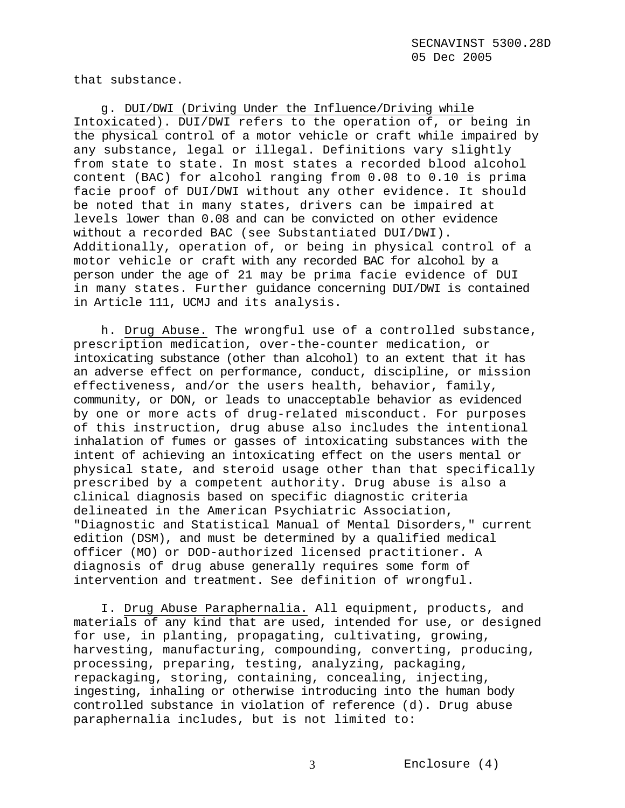that substance.

g. DUI/DWI (Driving Under the Influence/Driving while Intoxicated). DUI/DWI refers to the operation of, or being in the physical control of a motor vehicle or craft while impaired by any substance, legal or illegal. Definitions vary slightly from state to state. In most states a recorded blood alcohol content (BAC) for alcohol ranging from 0.08 to 0.10 is prima facie proof of DUI/DWI without any other evidence. It should be noted that in many states, drivers can be impaired at levels lower than 0.08 and can be convicted on other evidence without a recorded BAC (see Substantiated DUI/DWI). Additionally, operation of, or being in physical control of a motor vehicle or craft with any recorded BAC for alcohol by a person under the age of 21 may be prima facie evidence of DUI in many states. Further guidance concerning DUI/DWI is contained in Article 111, UCMJ and its analysis.

h. Drug Abuse. The wrongful use of a controlled substance, prescription medication, over-the-counter medication, or intoxicating substance (other than alcohol) to an extent that it has an adverse effect on performance, conduct, discipline, or mission effectiveness, and/or the users health, behavior, family, community, or DON, or leads to unacceptable behavior as evidenced by one or more acts of drug-related misconduct. For purposes of this instruction, drug abuse also includes the intentional inhalation of fumes or gasses of intoxicating substances with the intent of achieving an intoxicating effect on the users mental or physical state, and steroid usage other than that specifically prescribed by a competent authority. Drug abuse is also a clinical diagnosis based on specific diagnostic criteria delineated in the American Psychiatric Association, "Diagnostic and Statistical Manual of Mental Disorders," current edition (DSM), and must be determined by a qualified medical officer (MO) or DOD-authorized licensed practitioner. A diagnosis of drug abuse generally requires some form of intervention and treatment. See definition of wrongful.

I. Drug Abuse Paraphernalia. All equipment, products, and materials of any kind that are used, intended for use, or designed for use, in planting, propagating, cultivating, growing, harvesting, manufacturing, compounding, converting, producing, processing, preparing, testing, analyzing, packaging, repackaging, storing, containing, concealing, injecting, ingesting, inhaling or otherwise introducing into the human body controlled substance in violation of reference (d). Drug abuse paraphernalia includes, but is not limited to: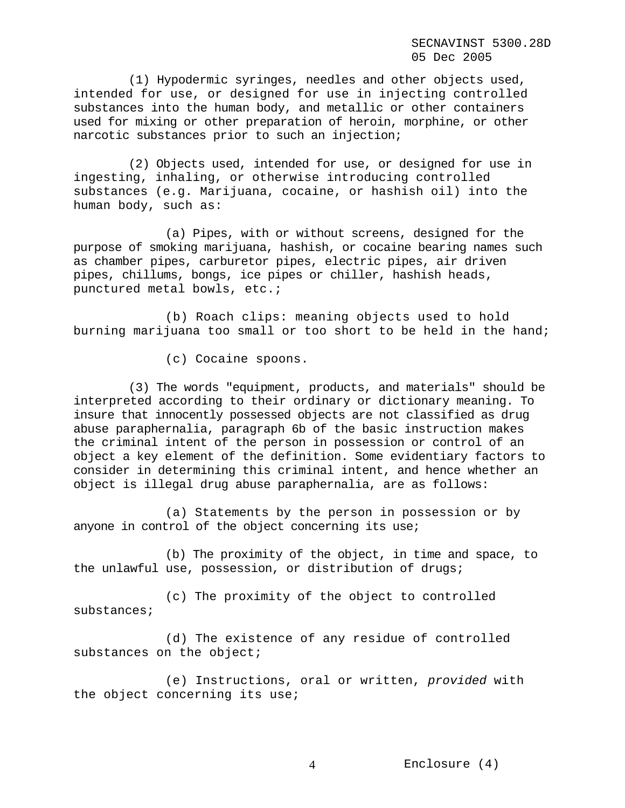SECNAVINST 5300.28D 05 Dec 2005

(1) Hypodermic syringes, needles and other objects used, intended for use, or designed for use in injecting controlled substances into the human body, and metallic or other containers used for mixing or other preparation of heroin, morphine, or other narcotic substances prior to such an injection;

(2) Objects used, intended for use, or designed for use in ingesting, inhaling, or otherwise introducing controlled substances (e.g. Marijuana, cocaine, or hashish oil) into the human body, such as:

(a) Pipes, with or without screens, designed for the purpose of smoking marijuana, hashish, or cocaine bearing names such as chamber pipes, carburetor pipes, electric pipes, air driven pipes, chillums, bongs, ice pipes or chiller, hashish heads, punctured metal bowls, etc.;

(b) Roach clips: meaning objects used to hold burning marijuana too small or too short to be held in the hand;

(c) Cocaine spoons.

(3) The words "equipment, products, and materials" should be interpreted according to their ordinary or dictionary meaning. To insure that innocently possessed objects are not classified as drug abuse paraphernalia, paragraph 6b of the basic instruction makes the criminal intent of the person in possession or control of an object a key element of the definition. Some evidentiary factors to consider in determining this criminal intent, and hence whether an object is illegal drug abuse paraphernalia, are as follows:

(a) Statements by the person in possession or by anyone in control of the object concerning its use;

(b) The proximity of the object, in time and space, to the unlawful use, possession, or distribution of drugs;

(c) The proximity of the object to controlled substances;

(d) The existence of any residue of controlled substances on the object;

(e) Instructions, oral or written, *provided* with the object concerning its use;

Enclosure (4) 4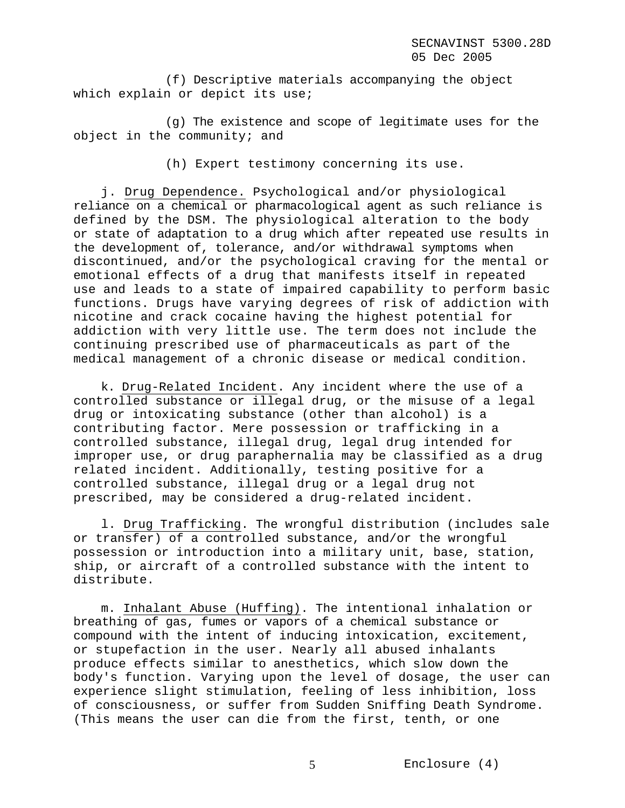(f) Descriptive materials accompanying the object which explain or depict its use;

(g) The existence and scope of legitimate uses for the object in the community; and

(h) Expert testimony concerning its use.

j. Drug Dependence. Psychological and/or physiological reliance on a chemical or pharmacological agent as such reliance is defined by the DSM. The physiological alteration to the body or state of adaptation to a drug which after repeated use results in the development of, tolerance, and/or withdrawal symptoms when discontinued, and/or the psychological craving for the mental or emotional effects of a drug that manifests itself in repeated use and leads to a state of impaired capability to perform basic functions. Drugs have varying degrees of risk of addiction with nicotine and crack cocaine having the highest potential for addiction with very little use. The term does not include the continuing prescribed use of pharmaceuticals as part of the medical management of a chronic disease or medical condition.

k. Drug-Related Incident. Any incident where the use of a controlled substance or illegal drug, or the misuse of a legal drug or intoxicating substance (other than alcohol) is a contributing factor. Mere possession or trafficking in a controlled substance, illegal drug, legal drug intended for improper use, or drug paraphernalia may be classified as a drug related incident. Additionally, testing positive for a controlled substance, illegal drug or a legal drug not prescribed, may be considered a drug-related incident.

l. Drug Trafficking. The wrongful distribution (includes sale or transfer) of a controlled substance, and/or the wrongful possession or introduction into a military unit, base, station, ship, or aircraft of a controlled substance with the intent to distribute.

m. Inhalant Abuse (Huffing). The intentional inhalation or breathing of gas, fumes or vapors of a chemical substance or compound with the intent of inducing intoxication, excitement, or stupefaction in the user. Nearly all abused inhalants produce effects similar to anesthetics, which slow down the body's function. Varying upon the level of dosage, the user can experience slight stimulation, feeling of less inhibition, loss of consciousness, or suffer from Sudden Sniffing Death Syndrome. (This means the user can die from the first, tenth, or one